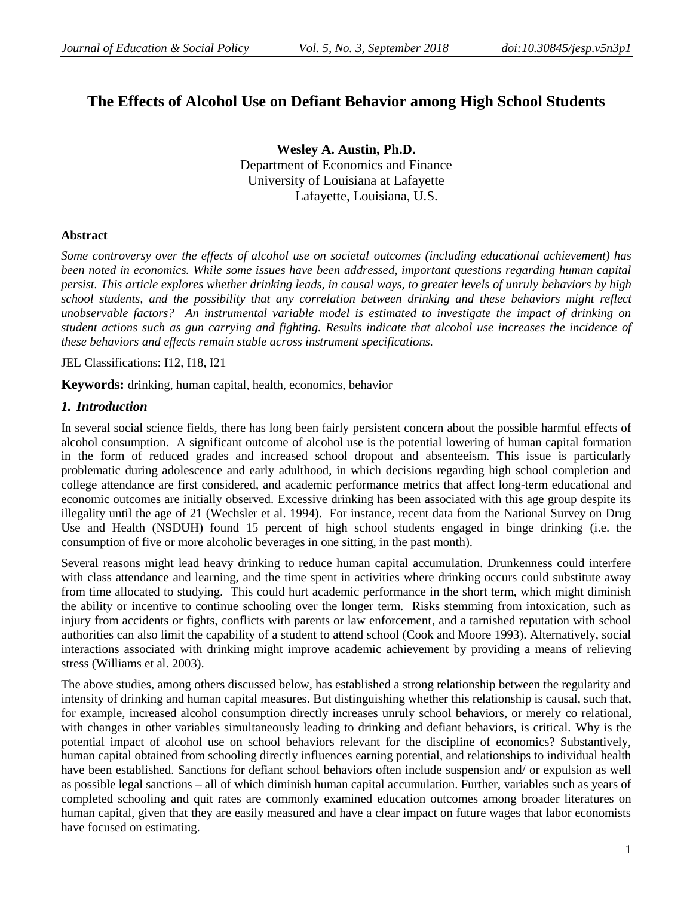# **The Effects of Alcohol Use on Defiant Behavior among High School Students**

**Wesley A. Austin, Ph.D.** Department of Economics and Finance University of Louisiana at Lafayette Lafayette, Louisiana, U.S.

# **Abstract**

*Some controversy over the effects of alcohol use on societal outcomes (including educational achievement) has been noted in economics. While some issues have been addressed, important questions regarding human capital persist. This article explores whether drinking leads, in causal ways, to greater levels of unruly behaviors by high school students, and the possibility that any correlation between drinking and these behaviors might reflect unobservable factors? An instrumental variable model is estimated to investigate the impact of drinking on student actions such as gun carrying and fighting. Results indicate that alcohol use increases the incidence of these behaviors and effects remain stable across instrument specifications.* 

JEL Classifications: I12, I18, I21

**Keywords:** drinking, human capital, health, economics, behavior

# *1. Introduction*

In several social science fields, there has long been fairly persistent concern about the possible harmful effects of alcohol consumption. A significant outcome of alcohol use is the potential lowering of human capital formation in the form of reduced grades and increased school dropout and absenteeism. This issue is particularly problematic during adolescence and early adulthood, in which decisions regarding high school completion and college attendance are first considered, and academic performance metrics that affect long-term educational and economic outcomes are initially observed. Excessive drinking has been associated with this age group despite its illegality until the age of 21 (Wechsler et al. 1994). For instance, recent data from the National Survey on Drug Use and Health (NSDUH) found 15 percent of high school students engaged in binge drinking (i.e. the consumption of five or more alcoholic beverages in one sitting, in the past month).

Several reasons might lead heavy drinking to reduce human capital accumulation. Drunkenness could interfere with class attendance and learning, and the time spent in activities where drinking occurs could substitute away from time allocated to studying. This could hurt academic performance in the short term, which might diminish the ability or incentive to continue schooling over the longer term. Risks stemming from intoxication, such as injury from accidents or fights, conflicts with parents or law enforcement, and a tarnished reputation with school authorities can also limit the capability of a student to attend school (Cook and Moore 1993). Alternatively, social interactions associated with drinking might improve academic achievement by providing a means of relieving stress (Williams et al. 2003).

The above studies, among others discussed below, has established a strong relationship between the regularity and intensity of drinking and human capital measures. But distinguishing whether this relationship is causal, such that, for example, increased alcohol consumption directly increases unruly school behaviors, or merely co relational, with changes in other variables simultaneously leading to drinking and defiant behaviors, is critical. Why is the potential impact of alcohol use on school behaviors relevant for the discipline of economics? Substantively, human capital obtained from schooling directly influences earning potential, and relationships to individual health have been established. Sanctions for defiant school behaviors often include suspension and/ or expulsion as well as possible legal sanctions – all of which diminish human capital accumulation. Further, variables such as years of completed schooling and quit rates are commonly examined education outcomes among broader literatures on human capital, given that they are easily measured and have a clear impact on future wages that labor economists have focused on estimating.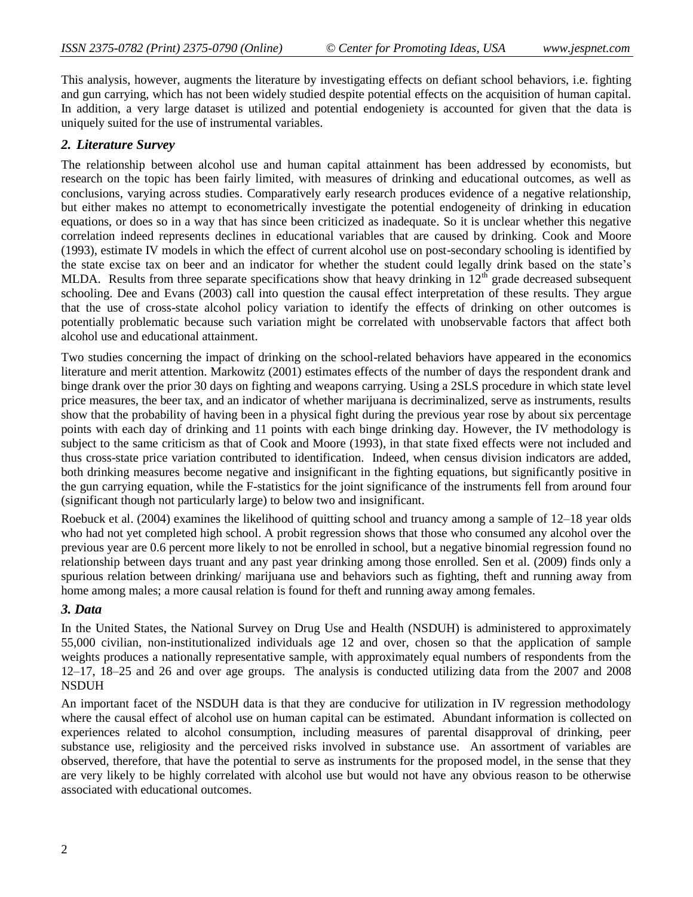This analysis, however, augments the literature by investigating effects on defiant school behaviors, i.e. fighting and gun carrying, which has not been widely studied despite potential effects on the acquisition of human capital. In addition, a very large dataset is utilized and potential endogeniety is accounted for given that the data is uniquely suited for the use of instrumental variables.

# *2. Literature Survey*

The relationship between alcohol use and human capital attainment has been addressed by economists, but research on the topic has been fairly limited, with measures of drinking and educational outcomes, as well as conclusions, varying across studies. Comparatively early research produces evidence of a negative relationship, but either makes no attempt to econometrically investigate the potential endogeneity of drinking in education equations, or does so in a way that has since been criticized as inadequate. So it is unclear whether this negative correlation indeed represents declines in educational variables that are caused by drinking. Cook and Moore (1993), estimate IV models in which the effect of current alcohol use on post-secondary schooling is identified by the state excise tax on beer and an indicator for whether the student could legally drink based on the state"s MLDA. Results from three separate specifications show that heavy drinking in  $12<sup>th</sup>$  grade decreased subsequent schooling. Dee and Evans (2003) call into question the causal effect interpretation of these results. They argue that the use of cross-state alcohol policy variation to identify the effects of drinking on other outcomes is potentially problematic because such variation might be correlated with unobservable factors that affect both alcohol use and educational attainment.

Two studies concerning the impact of drinking on the school-related behaviors have appeared in the economics literature and merit attention. Markowitz (2001) estimates effects of the number of days the respondent drank and binge drank over the prior 30 days on fighting and weapons carrying. Using a 2SLS procedure in which state level price measures, the beer tax, and an indicator of whether marijuana is decriminalized, serve as instruments, results show that the probability of having been in a physical fight during the previous year rose by about six percentage points with each day of drinking and 11 points with each binge drinking day. However, the IV methodology is subject to the same criticism as that of Cook and Moore (1993), in that state fixed effects were not included and thus cross-state price variation contributed to identification. Indeed, when census division indicators are added, both drinking measures become negative and insignificant in the fighting equations, but significantly positive in the gun carrying equation, while the F-statistics for the joint significance of the instruments fell from around four (significant though not particularly large) to below two and insignificant.

Roebuck et al. (2004) examines the likelihood of quitting school and truancy among a sample of 12–18 year olds who had not yet completed high school. A probit regression shows that those who consumed any alcohol over the previous year are 0.6 percent more likely to not be enrolled in school, but a negative binomial regression found no relationship between days truant and any past year drinking among those enrolled. Sen et al. (2009) finds only a spurious relation between drinking/ marijuana use and behaviors such as fighting, theft and running away from home among males; a more causal relation is found for theft and running away among females.

### *3. Data*

In the United States, the National Survey on Drug Use and Health (NSDUH) is administered to approximately 55,000 civilian, non-institutionalized individuals age 12 and over, chosen so that the application of sample weights produces a nationally representative sample, with approximately equal numbers of respondents from the 12–17, 18–25 and 26 and over age groups. The analysis is conducted utilizing data from the 2007 and 2008 NSDUH

An important facet of the NSDUH data is that they are conducive for utilization in IV regression methodology where the causal effect of alcohol use on human capital can be estimated. Abundant information is collected on experiences related to alcohol consumption, including measures of parental disapproval of drinking, peer substance use, religiosity and the perceived risks involved in substance use. An assortment of variables are observed, therefore, that have the potential to serve as instruments for the proposed model, in the sense that they are very likely to be highly correlated with alcohol use but would not have any obvious reason to be otherwise associated with educational outcomes.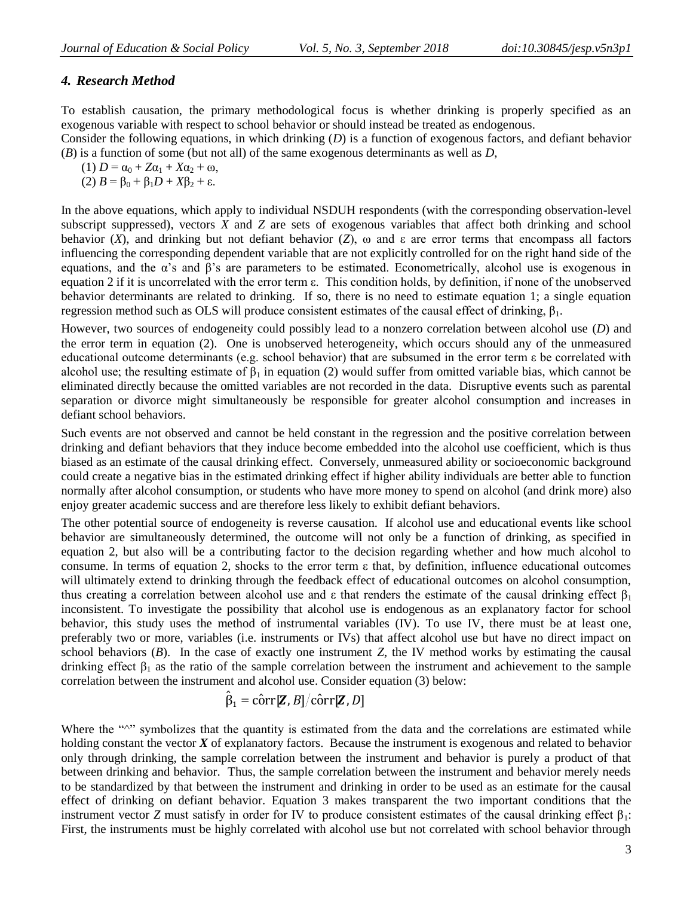# *4. Research Method*

To establish causation, the primary methodological focus is whether drinking is properly specified as an exogenous variable with respect to school behavior or should instead be treated as endogenous.

Consider the following equations, in which drinking (*D*) is a function of exogenous factors, and defiant behavior (*B*) is a function of some (but not all) of the same exogenous determinants as well as *D*,

(1)  $D = \alpha_0 + Z\alpha_1 + X\alpha_2 + \omega$ , (2)  $B = \beta_0 + \beta_1 D + X \beta_2 + \varepsilon$ .

In the above equations, which apply to individual NSDUH respondents (with the corresponding observation-level subscript suppressed), vectors *X* and *Z* are sets of exogenous variables that affect both drinking and school behavior (*X*), and drinking but not defiant behavior (*Z*), ω and ε are error terms that encompass all factors influencing the corresponding dependent variable that are not explicitly controlled for on the right hand side of the equations, and the  $\alpha$ 's and  $\beta$ 's are parameters to be estimated. Econometrically, alcohol use is exogenous in equation 2 if it is uncorrelated with the error term ε. This condition holds, by definition, if none of the unobserved behavior determinants are related to drinking. If so, there is no need to estimate equation 1; a single equation regression method such as OLS will produce consistent estimates of the causal effect of drinking,  $\beta_1$ .

However, two sources of endogeneity could possibly lead to a nonzero correlation between alcohol use (*D*) and the error term in equation (2). One is unobserved heterogeneity, which occurs should any of the unmeasured educational outcome determinants (e.g. school behavior) that are subsumed in the error term ε be correlated with alcohol use; the resulting estimate of  $\beta_1$  in equation (2) would suffer from omitted variable bias, which cannot be eliminated directly because the omitted variables are not recorded in the data. Disruptive events such as parental separation or divorce might simultaneously be responsible for greater alcohol consumption and increases in defiant school behaviors.

Such events are not observed and cannot be held constant in the regression and the positive correlation between drinking and defiant behaviors that they induce become embedded into the alcohol use coefficient, which is thus biased as an estimate of the causal drinking effect. Conversely, unmeasured ability or socioeconomic background could create a negative bias in the estimated drinking effect if higher ability individuals are better able to function normally after alcohol consumption, or students who have more money to spend on alcohol (and drink more) also enjoy greater academic success and are therefore less likely to exhibit defiant behaviors.

The other potential source of endogeneity is reverse causation. If alcohol use and educational events like school behavior are simultaneously determined, the outcome will not only be a function of drinking, as specified in equation 2, but also will be a contributing factor to the decision regarding whether and how much alcohol to consume. In terms of equation 2, shocks to the error term ε that, by definition, influence educational outcomes will ultimately extend to drinking through the feedback effect of educational outcomes on alcohol consumption, thus creating a correlation between alcohol use and ε that renders the estimate of the causal drinking effect  $β_1$ inconsistent. To investigate the possibility that alcohol use is endogenous as an explanatory factor for school behavior, this study uses the method of instrumental variables (IV). To use IV, there must be at least one, preferably two or more, variables (i.e. instruments or IVs) that affect alcohol use but have no direct impact on school behaviors  $(B)$ . In the case of exactly one instrument  $Z$ , the IV method works by estimating the causal drinking effect  $β_1$  as the ratio of the sample correlation between the instrument and achievement to the sample correlation between the instrument and alcohol use. Consider equation (3) below:

# $\hat{\beta}_1 = \hat{\text{corr}}[\mathbf{Z}, B]/\hat{\text{corr}}[\mathbf{Z}, D]$

Where the "<sup>"</sup> symbolizes that the quantity is estimated from the data and the correlations are estimated while holding constant the vector *X* of explanatory factors. Because the instrument is exogenous and related to behavior only through drinking, the sample correlation between the instrument and behavior is purely a product of that between drinking and behavior. Thus, the sample correlation between the instrument and behavior merely needs to be standardized by that between the instrument and drinking in order to be used as an estimate for the causal effect of drinking on defiant behavior. Equation 3 makes transparent the two important conditions that the instrument vector *Z* must satisfy in order for IV to produce consistent estimates of the causal drinking effect  $\beta_1$ : First, the instruments must be highly correlated with alcohol use but not correlated with school behavior through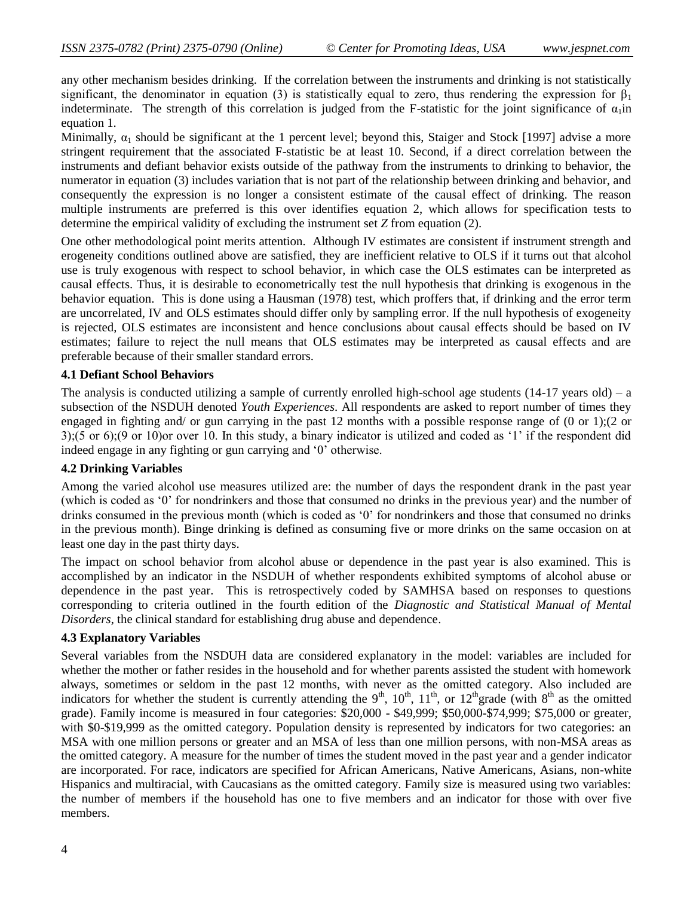any other mechanism besides drinking. If the correlation between the instruments and drinking is not statistically significant, the denominator in equation (3) is statistically equal to zero, thus rendering the expression for  $\beta_1$ indeterminate. The strength of this correlation is judged from the F-statistic for the joint significance of  $\alpha_1$ in equation 1.

Minimally,  $\alpha_1$  should be significant at the 1 percent level; beyond this, Staiger and Stock [1997] advise a more stringent requirement that the associated F-statistic be at least 10. Second, if a direct correlation between the instruments and defiant behavior exists outside of the pathway from the instruments to drinking to behavior, the numerator in equation (3) includes variation that is not part of the relationship between drinking and behavior, and consequently the expression is no longer a consistent estimate of the causal effect of drinking. The reason multiple instruments are preferred is this over identifies equation 2, which allows for specification tests to determine the empirical validity of excluding the instrument set *Z* from equation (2).

One other methodological point merits attention. Although IV estimates are consistent if instrument strength and erogeneity conditions outlined above are satisfied, they are inefficient relative to OLS if it turns out that alcohol use is truly exogenous with respect to school behavior, in which case the OLS estimates can be interpreted as causal effects. Thus, it is desirable to econometrically test the null hypothesis that drinking is exogenous in the behavior equation. This is done using a Hausman (1978) test, which proffers that, if drinking and the error term are uncorrelated, IV and OLS estimates should differ only by sampling error. If the null hypothesis of exogeneity is rejected, OLS estimates are inconsistent and hence conclusions about causal effects should be based on IV estimates; failure to reject the null means that OLS estimates may be interpreted as causal effects and are preferable because of their smaller standard errors.

### **4.1 Defiant School Behaviors**

The analysis is conducted utilizing a sample of currently enrolled high-school age students (14-17 years old) – a subsection of the NSDUH denoted *Youth Experiences*. All respondents are asked to report number of times they engaged in fighting and/ or gun carrying in the past 12 months with a possible response range of (0 or 1);(2 or  $3$ ;(5 or 6);(9 or 10)or over 10. In this study, a binary indicator is utilized and coded as '1' if the respondent did indeed engage in any fighting or gun carrying and "0" otherwise.

### **4.2 Drinking Variables**

Among the varied alcohol use measures utilized are: the number of days the respondent drank in the past year (which is coded as "0" for nondrinkers and those that consumed no drinks in the previous year) and the number of drinks consumed in the previous month (which is coded as "0" for nondrinkers and those that consumed no drinks in the previous month). Binge drinking is defined as consuming five or more drinks on the same occasion on at least one day in the past thirty days.

The impact on school behavior from alcohol abuse or dependence in the past year is also examined. This is accomplished by an indicator in the NSDUH of whether respondents exhibited symptoms of alcohol abuse or dependence in the past year. This is retrospectively coded by SAMHSA based on responses to questions corresponding to criteria outlined in the fourth edition of the *Diagnostic and Statistical Manual of Mental Disorders*, the clinical standard for establishing drug abuse and dependence.

### **4.3 Explanatory Variables**

Several variables from the NSDUH data are considered explanatory in the model: variables are included for whether the mother or father resides in the household and for whether parents assisted the student with homework always, sometimes or seldom in the past 12 months, with never as the omitted category. Also included are indicators for whether the student is currently attending the  $9<sup>th</sup>$ ,  $10<sup>th</sup>$ ,  $11<sup>th</sup>$ , or  $12<sup>th</sup>$ grade (with  $8<sup>th</sup>$  as the omitted grade). Family income is measured in four categories: \$20,000 - \$49,999; \$50,000-\$74,999; \$75,000 or greater, with \$0-\$19,999 as the omitted category. Population density is represented by indicators for two categories: an MSA with one million persons or greater and an MSA of less than one million persons, with non-MSA areas as the omitted category. A measure for the number of times the student moved in the past year and a gender indicator are incorporated. For race, indicators are specified for African Americans, Native Americans, Asians, non-white Hispanics and multiracial, with Caucasians as the omitted category. Family size is measured using two variables: the number of members if the household has one to five members and an indicator for those with over five members.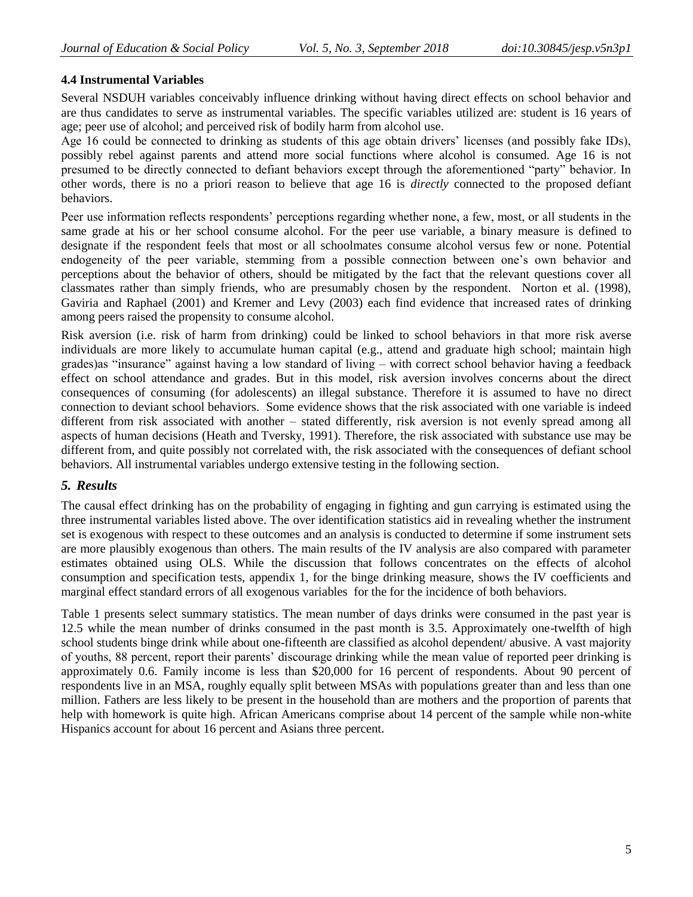# **4.4 Instrumental Variables**

Several NSDUH variables conceivably influence drinking without having direct effects on school behavior and are thus candidates to serve as instrumental variables. The specific variables utilized are: student is 16 years of age; peer use of alcohol; and perceived risk of bodily harm from alcohol use.

Age 16 could be connected to drinking as students of this age obtain drivers" licenses (and possibly fake IDs), possibly rebel against parents and attend more social functions where alcohol is consumed. Age 16 is not presumed to be directly connected to defiant behaviors except through the aforementioned "party" behavior. In other words, there is no a priori reason to believe that age 16 is *directly* connected to the proposed defiant behaviors.

Peer use information reflects respondents' perceptions regarding whether none, a few, most, or all students in the same grade at his or her school consume alcohol. For the peer use variable, a binary measure is defined to designate if the respondent feels that most or all schoolmates consume alcohol versus few or none. Potential endogeneity of the peer variable, stemming from a possible connection between one"s own behavior and perceptions about the behavior of others, should be mitigated by the fact that the relevant questions cover all classmates rather than simply friends, who are presumably chosen by the respondent. Norton et al. (1998), Gaviria and Raphael (2001) and Kremer and Levy (2003) each find evidence that increased rates of drinking among peers raised the propensity to consume alcohol.

Risk aversion (i.e. risk of harm from drinking) could be linked to school behaviors in that more risk averse individuals are more likely to accumulate human capital (e.g., attend and graduate high school; maintain high grades)as "insurance" against having a low standard of living – with correct school behavior having a feedback effect on school attendance and grades. But in this model, risk aversion involves concerns about the direct consequences of consuming (for adolescents) an illegal substance. Therefore it is assumed to have no direct connection to deviant school behaviors. Some evidence shows that the risk associated with one variable is indeed different from risk associated with another – stated differently, risk aversion is not evenly spread among all aspects of human decisions (Heath and Tversky, 1991). Therefore, the risk associated with substance use may be different from, and quite possibly not correlated with, the risk associated with the consequences of defiant school behaviors. All instrumental variables undergo extensive testing in the following section.

# *5. Results*

The causal effect drinking has on the probability of engaging in fighting and gun carrying is estimated using the three instrumental variables listed above. The over identification statistics aid in revealing whether the instrument set is exogenous with respect to these outcomes and an analysis is conducted to determine if some instrument sets are more plausibly exogenous than others. The main results of the IV analysis are also compared with parameter estimates obtained using OLS. While the discussion that follows concentrates on the effects of alcohol consumption and specification tests, appendix 1, for the binge drinking measure, shows the IV coefficients and marginal effect standard errors of all exogenous variables for the for the incidence of both behaviors.

Table 1 presents select summary statistics. The mean number of days drinks were consumed in the past year is 12.5 while the mean number of drinks consumed in the past month is 3.5. Approximately one-twelfth of high school students binge drink while about one-fifteenth are classified as alcohol dependent/ abusive. A vast majority of youths, 88 percent, report their parents" discourage drinking while the mean value of reported peer drinking is approximately 0.6. Family income is less than \$20,000 for 16 percent of respondents. About 90 percent of respondents live in an MSA, roughly equally split between MSAs with populations greater than and less than one million. Fathers are less likely to be present in the household than are mothers and the proportion of parents that help with homework is quite high. African Americans comprise about 14 percent of the sample while non-white Hispanics account for about 16 percent and Asians three percent.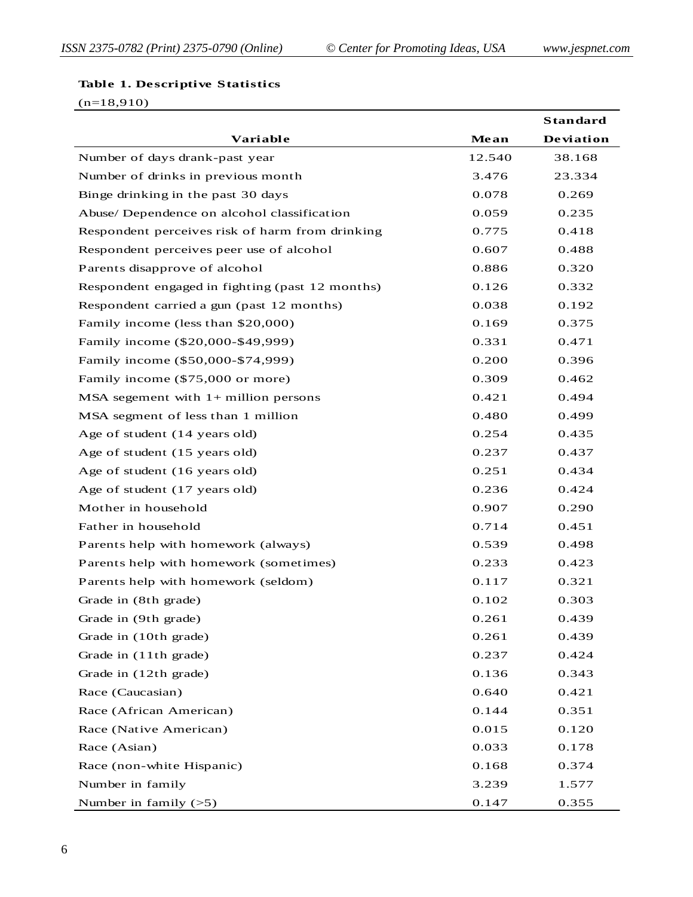#### **Table 1. Descriptive Statistics**

(n=18,910)

|                                                 |        | <b>Standard</b> |
|-------------------------------------------------|--------|-----------------|
| Variable                                        | Mean   | Deviation       |
| Number of days drank-past year                  | 12.540 | 38.168          |
| Number of drinks in previous month              | 3.476  | 23.334          |
| Binge drinking in the past 30 days              | 0.078  | 0.269           |
| Abuse/ Dependence on alcohol classification     | 0.059  | 0.235           |
| Respondent perceives risk of harm from drinking | 0.775  | 0.418           |
| Respondent perceives peer use of alcohol        | 0.607  | 0.488           |
| Parents disapprove of alcohol                   | 0.886  | 0.320           |
| Respondent engaged in fighting (past 12 months) | 0.126  | 0.332           |
| Respondent carried a gun (past 12 months)       | 0.038  | 0.192           |
| Family income (less than \$20,000)              | 0.169  | 0.375           |
| Family income (\$20,000-\$49,999)               | 0.331  | 0.471           |
| Family income (\$50,000-\$74,999)               | 0.200  | 0.396           |
| Family income (\$75,000 or more)                | 0.309  | 0.462           |
| MSA segement with $1+$ million persons          | 0.421  | 0.494           |
| MSA segment of less than 1 million              | 0.480  | 0.499           |
| Age of student (14 years old)                   | 0.254  | 0.435           |
| Age of student (15 years old)                   | 0.237  | 0.437           |
| Age of student (16 years old)                   | 0.251  | 0.434           |
| Age of student (17 years old)                   | 0.236  | 0.424           |
| Mother in household                             | 0.907  | 0.290           |
| Father in household                             | 0.714  | 0.451           |
| Parents help with homework (always)             | 0.539  | 0.498           |
| Parents help with homework (sometimes)          | 0.233  | 0.423           |
| Parents help with homework (seldom)             | 0.117  | 0.321           |
| Grade in (8th grade)                            | 0.102  | 0.303           |
| Grade in (9th grade)                            | 0.261  | 0.439           |
| Grade in (10th grade)                           | 0.261  | 0.439           |
| Grade in (11th grade)                           | 0.237  | 0.424           |
| Grade in (12th grade)                           | 0.136  | 0.343           |
| Race (Caucasian)                                | 0.640  | 0.421           |
| Race (African American)                         | 0.144  | 0.351           |
| Race (Native American)                          | 0.015  | 0.120           |
| Race (Asian)                                    | 0.033  | 0.178           |
| Race (non-white Hispanic)                       | 0.168  | 0.374           |
| Number in family                                | 3.239  | 1.577           |
| Number in family $(>5)$                         | 0.147  | 0.355           |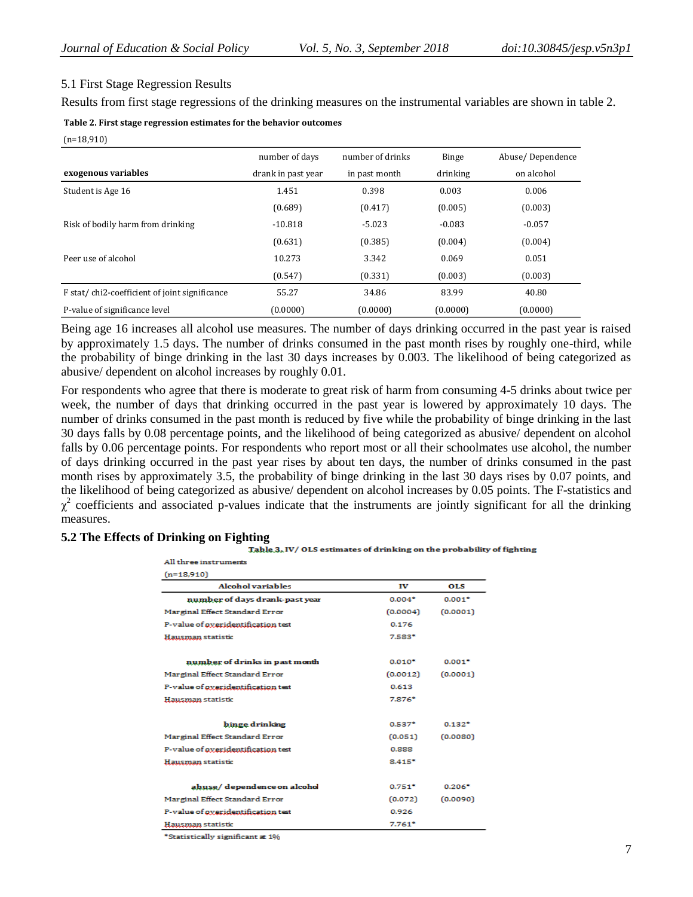# 5.1 First Stage Regression Results

Results from first stage regressions of the drinking measures on the instrumental variables are shown in table 2.

| Table 2. First stage regression estimates for the behavior outcomes |  |  |
|---------------------------------------------------------------------|--|--|
|                                                                     |  |  |

(n=18,910)

|                                               | number of days     | number of drinks | <b>Binge</b> | Abuse/Dependence |
|-----------------------------------------------|--------------------|------------------|--------------|------------------|
| exogenous variables                           | drank in past year | in past month    | drinking     | on alcohol       |
| Student is Age 16                             | 1.451              | 0.398            | 0.003        | 0.006            |
|                                               | (0.689)            | (0.417)          | (0.005)      | (0.003)          |
| Risk of bodily harm from drinking             | $-10.818$          | $-5.023$         | $-0.083$     | $-0.057$         |
|                                               | (0.631)            | (0.385)          | (0.004)      | (0.004)          |
| Peer use of alcohol                           | 10.273             | 3.342            | 0.069        | 0.051            |
|                                               | (0.547)            | (0.331)          | (0.003)      | (0.003)          |
| F stat/chi2-coefficient of joint significance | 55.27              | 34.86            | 83.99        | 40.80            |
| P-value of significance level                 | (0.0000)           | (0.0000)         | (0.0000)     | (0.0000)         |

Being age 16 increases all alcohol use measures. The number of days drinking occurred in the past year is raised by approximately 1.5 days. The number of drinks consumed in the past month rises by roughly one-third, while the probability of binge drinking in the last 30 days increases by 0.003. The likelihood of being categorized as abusive/ dependent on alcohol increases by roughly 0.01.

For respondents who agree that there is moderate to great risk of harm from consuming 4-5 drinks about twice per week, the number of days that drinking occurred in the past year is lowered by approximately 10 days. The number of drinks consumed in the past month is reduced by five while the probability of binge drinking in the last 30 days falls by 0.08 percentage points, and the likelihood of being categorized as abusive/ dependent on alcohol falls by 0.06 percentage points. For respondents who report most or all their schoolmates use alcohol, the number of days drinking occurred in the past year rises by about ten days, the number of drinks consumed in the past month rises by approximately 3.5, the probability of binge drinking in the last 30 days rises by 0.07 points, and the likelihood of being categorized as abusive/ dependent on alcohol increases by 0.05 points. The F-statistics and  $\chi^2$  coefficients and associated p-values indicate that the instruments are jointly significant for all the drinking measures.

### **5.2 The Effects of Drinking on Fighting**

| Table 3, IV/OLS estimates of drinking on the probability of fighting |
|----------------------------------------------------------------------|
|                                                                      |

| All three instruments              |          |            |
|------------------------------------|----------|------------|
| $(n=18,910)$                       |          |            |
| <b>Alcohol variables</b>           | IV       | <b>OLS</b> |
| number of days drank-past year     | $0.004*$ | $0.001*$   |
| Marginal Effect Standard Error     | (0.0004) | (0.0001)   |
| P-value of overidentification test | 0.176    |            |
| Hausman statistic                  | $7.583*$ |            |
| number of drinks in past month     | $0.010*$ | $0.001*$   |
|                                    |          |            |
| Marginal Effect Standard Error     | (0.0012) | (0.0001)   |
| P-value of overidentification test | 0.613    |            |
| Hausman statistic                  | $7.876*$ |            |
| binge drinking                     | $0.537*$ | $0.132*$   |
| Marginal Effect Standard Error     | (0.051)  | (0.0080)   |
| P-value of overidentification test | 0.888    |            |
| Hausman statistic                  | $8.415*$ |            |
| abuse/dependence on alcohol        | $0.751*$ | $0.206*$   |
| Marginal Effect Standard Error     | (0.072)  | (0.0090)   |
| P-value of overidentification test | 0.926    |            |
| Hausman statistic                  | $7.761*$ |            |
| *Statistically significant at 1%   |          |            |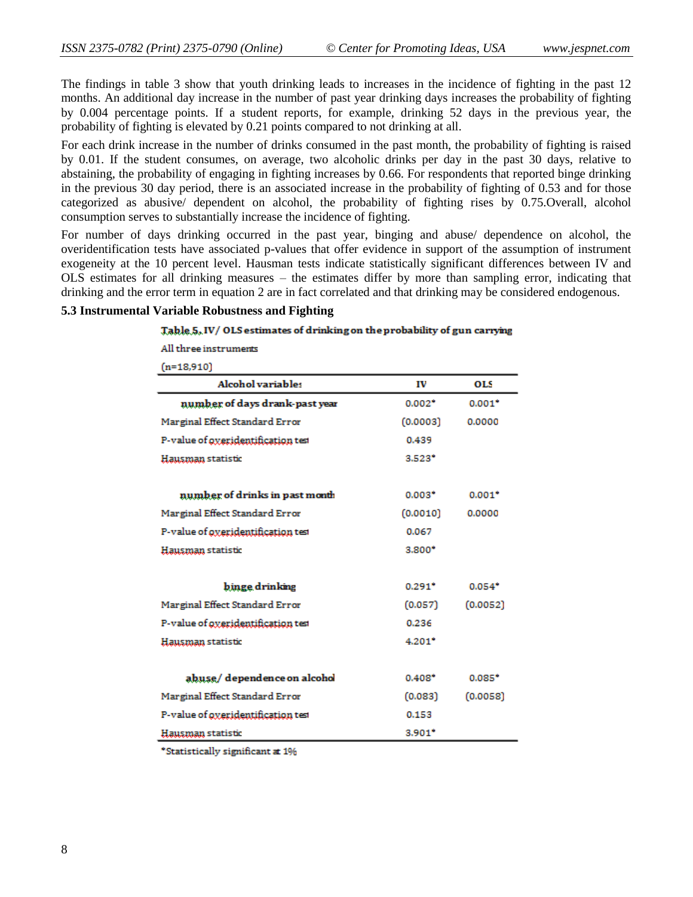The findings in table 3 show that youth drinking leads to increases in the incidence of fighting in the past 12 months. An additional day increase in the number of past year drinking days increases the probability of fighting by 0.004 percentage points. If a student reports, for example, drinking 52 days in the previous year, the probability of fighting is elevated by 0.21 points compared to not drinking at all.

For each drink increase in the number of drinks consumed in the past month, the probability of fighting is raised by 0.01. If the student consumes, on average, two alcoholic drinks per day in the past 30 days, relative to abstaining, the probability of engaging in fighting increases by 0.66. For respondents that reported binge drinking in the previous 30 day period, there is an associated increase in the probability of fighting of 0.53 and for those categorized as abusive/ dependent on alcohol, the probability of fighting rises by 0.75.Overall, alcohol consumption serves to substantially increase the incidence of fighting.

For number of days drinking occurred in the past year, binging and abuse/ dependence on alcohol, the overidentification tests have associated p-values that offer evidence in support of the assumption of instrument exogeneity at the 10 percent level. Hausman tests indicate statistically significant differences between IV and OLS estimates for all drinking measures – the estimates differ by more than sampling error, indicating that drinking and the error term in equation 2 are in fact correlated and that drinking may be considered endogenous.

### **5.3 Instrumental Variable Robustness and Fighting**

#### Table 5, IV/OLS estimates of drinking on the probability of gun carrying

All three instruments

 $(n=18.910)$ 

| Alcohol variables                  | IV       | OLS      |
|------------------------------------|----------|----------|
| number of days drank-past year     | $0.002*$ | $0.001*$ |
| Marginal Effect Standard Error     | (0.0003) | 0.0000   |
| P-value of oxeridentification test | 0.439    |          |
| Hausman statistic                  | $3.523*$ |          |
| number of drinks in past month     | $0.003*$ | $0.001*$ |
| Marginal Effect Standard Error     | (0.0010) | 0.0000   |
| P-value of oxeridentification test | 0.067    |          |
| Hausman statistic                  | $3.800*$ |          |
| binge drinking                     | $0.291*$ | $0.054*$ |
| Marginal Effect Standard Error     | (0.057)  | (0.0052) |
| P-value of oxeridentification test | 0.236    |          |
| Hausman statistic                  | $4.201*$ |          |
| abuse/dependence on alcohol        | $0.408*$ | $0.085*$ |
| Marginal Effect Standard Error     | (0.083)  | (0.0058) |
| P-value of overidentification test | 0.153    |          |
| Hausman statistic                  | $3.901*$ |          |

\*Statistically significant at 1%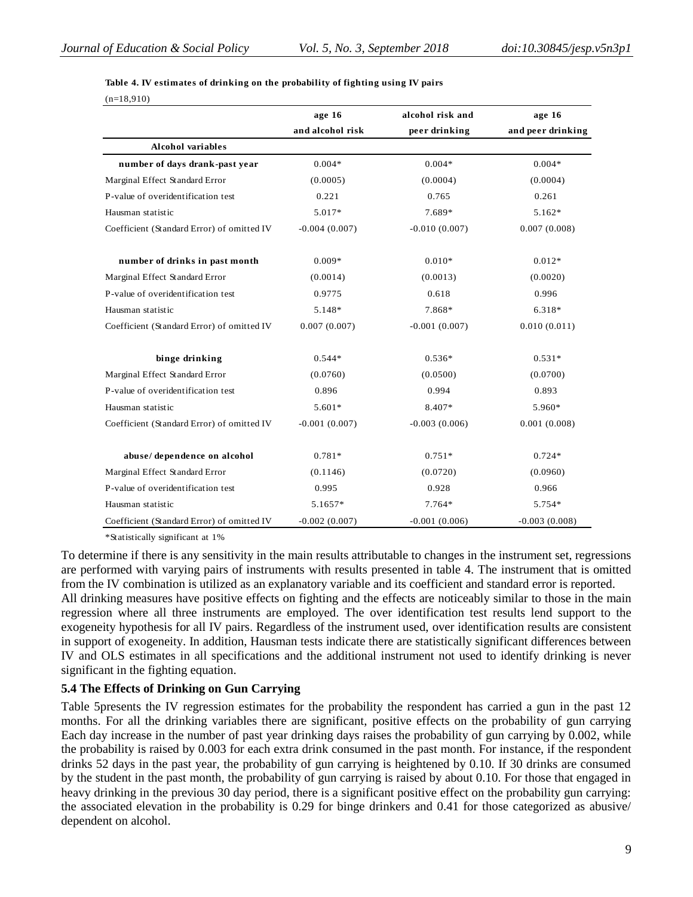|                                                                                                                                                                                                                                                                                                                                                                                                                                                                                                                                                                                                                                                                                                                                                                                                                                                                                                                                                                 | age 16           | alcohol risk and                                                                                              | age 16            |
|-----------------------------------------------------------------------------------------------------------------------------------------------------------------------------------------------------------------------------------------------------------------------------------------------------------------------------------------------------------------------------------------------------------------------------------------------------------------------------------------------------------------------------------------------------------------------------------------------------------------------------------------------------------------------------------------------------------------------------------------------------------------------------------------------------------------------------------------------------------------------------------------------------------------------------------------------------------------|------------------|---------------------------------------------------------------------------------------------------------------|-------------------|
|                                                                                                                                                                                                                                                                                                                                                                                                                                                                                                                                                                                                                                                                                                                                                                                                                                                                                                                                                                 | and alcohol risk | peer drinking                                                                                                 | and peer drinking |
| Alcohol variables                                                                                                                                                                                                                                                                                                                                                                                                                                                                                                                                                                                                                                                                                                                                                                                                                                                                                                                                               |                  |                                                                                                               |                   |
| number of days drank-past year                                                                                                                                                                                                                                                                                                                                                                                                                                                                                                                                                                                                                                                                                                                                                                                                                                                                                                                                  | $0.004*$         | $0.004*$                                                                                                      | $0.004*$          |
| Marginal Effect Standard Error                                                                                                                                                                                                                                                                                                                                                                                                                                                                                                                                                                                                                                                                                                                                                                                                                                                                                                                                  | (0.0005)         | (0.0004)                                                                                                      | (0.0004)          |
| P-value of overidentification test                                                                                                                                                                                                                                                                                                                                                                                                                                                                                                                                                                                                                                                                                                                                                                                                                                                                                                                              | 0.221            | 0.765                                                                                                         | 0.261             |
| Hausman statistic                                                                                                                                                                                                                                                                                                                                                                                                                                                                                                                                                                                                                                                                                                                                                                                                                                                                                                                                               | 5.017*           | 7.689*                                                                                                        | 5.162*            |
| Coefficient (Standard Error) of omitted IV                                                                                                                                                                                                                                                                                                                                                                                                                                                                                                                                                                                                                                                                                                                                                                                                                                                                                                                      | $-0.004(0.007)$  | $-0.010(0.007)$                                                                                               | 0.007(0.008)      |
| number of drinks in past month                                                                                                                                                                                                                                                                                                                                                                                                                                                                                                                                                                                                                                                                                                                                                                                                                                                                                                                                  | $0.009*$         | $0.010*$                                                                                                      | $0.012*$          |
| Marginal Effect Standard Error                                                                                                                                                                                                                                                                                                                                                                                                                                                                                                                                                                                                                                                                                                                                                                                                                                                                                                                                  | (0.0014)         | (0.0013)                                                                                                      | (0.0020)          |
| P-value of overidentification test                                                                                                                                                                                                                                                                                                                                                                                                                                                                                                                                                                                                                                                                                                                                                                                                                                                                                                                              | 0.9775           | 0.618                                                                                                         | 0.996             |
| Hausman statistic                                                                                                                                                                                                                                                                                                                                                                                                                                                                                                                                                                                                                                                                                                                                                                                                                                                                                                                                               | 5.148*           | 7.868*                                                                                                        | 6.318*            |
| Coefficient (Standard Error) of omitted IV                                                                                                                                                                                                                                                                                                                                                                                                                                                                                                                                                                                                                                                                                                                                                                                                                                                                                                                      | 0.007(0.007)     | $-0.001(0.007)$                                                                                               | 0.010(0.011)      |
| binge drinking                                                                                                                                                                                                                                                                                                                                                                                                                                                                                                                                                                                                                                                                                                                                                                                                                                                                                                                                                  | $0.544*$         | $0.536*$                                                                                                      | $0.531*$          |
| Marginal Effect Standard Error                                                                                                                                                                                                                                                                                                                                                                                                                                                                                                                                                                                                                                                                                                                                                                                                                                                                                                                                  | (0.0760)         | (0.0500)                                                                                                      | (0.0700)          |
| P-value of overidentification test                                                                                                                                                                                                                                                                                                                                                                                                                                                                                                                                                                                                                                                                                                                                                                                                                                                                                                                              | 0.896            | 0.994                                                                                                         | 0.893             |
| Hausman statistic                                                                                                                                                                                                                                                                                                                                                                                                                                                                                                                                                                                                                                                                                                                                                                                                                                                                                                                                               | 5.601*           | 8.407*                                                                                                        | 5.960*            |
| Coefficient (Standard Error) of omitted IV                                                                                                                                                                                                                                                                                                                                                                                                                                                                                                                                                                                                                                                                                                                                                                                                                                                                                                                      | $-0.001(0.007)$  | $-0.003(0.006)$                                                                                               | 0.001(0.008)      |
| abuse/dependence on alcohol                                                                                                                                                                                                                                                                                                                                                                                                                                                                                                                                                                                                                                                                                                                                                                                                                                                                                                                                     | $0.781*$         | $0.751*$                                                                                                      | $0.724*$          |
| Marginal Effect Standard Error                                                                                                                                                                                                                                                                                                                                                                                                                                                                                                                                                                                                                                                                                                                                                                                                                                                                                                                                  | (0.1146)         | (0.0720)                                                                                                      | (0.0960)          |
| P-value of overidentification test                                                                                                                                                                                                                                                                                                                                                                                                                                                                                                                                                                                                                                                                                                                                                                                                                                                                                                                              | 0.995            | 0.928                                                                                                         | 0.966             |
| Hausman statistic                                                                                                                                                                                                                                                                                                                                                                                                                                                                                                                                                                                                                                                                                                                                                                                                                                                                                                                                               | 5.1657*          | 7.764*                                                                                                        | 5.754*            |
| Coefficient (Standard Error) of omitted IV                                                                                                                                                                                                                                                                                                                                                                                                                                                                                                                                                                                                                                                                                                                                                                                                                                                                                                                      | $-0.002(0.007)$  | $-0.001(0.006)$                                                                                               | $-0.003(0.008)$   |
| *Statistically significant at 1%<br>To determine if there is any sensitivity in the main results attributable to changes in the instrument set, regi<br>are performed with varying pairs of instruments with results presented in table 4. The instrument that is<br>from the IV combination is utilized as an explanatory variable and its coefficient and standard error is repor<br>All drinking measures have positive effects on fighting and the effects are noticeably similar to those in the<br>regression where all three instruments are employed. The over identification test results lend support<br>exogeneity hypothesis for all IV pairs. Regardless of the instrument used, over identification results are co<br>in support of exogeneity. In addition, Hausman tests indicate there are statistically significant differences b<br>IV and OLS estimates in all specifications and the additional instrument not used to identify drinking i |                  |                                                                                                               |                   |
| significant in the fighting equation.                                                                                                                                                                                                                                                                                                                                                                                                                                                                                                                                                                                                                                                                                                                                                                                                                                                                                                                           |                  |                                                                                                               |                   |
| 5.4 The Effects of Drinking on Gun Carrying                                                                                                                                                                                                                                                                                                                                                                                                                                                                                                                                                                                                                                                                                                                                                                                                                                                                                                                     |                  |                                                                                                               |                   |
| Table 5presents the IV regression estimates for the probability the respondent has carried a gun in the<br>months. For all the drinking variables there are significant, positive effects on the probability of gun or<br>Each day increase in the number of past year drinking days raises the probability of gun carrying by 0.002<br>the probability is raised by 0.003 for each extra drink consumed in the past month. For instance, if the resp<br>drinks 52 days in the past year, the probability of gun carrying is heightened by 0.10. If 30 drinks are con                                                                                                                                                                                                                                                                                                                                                                                           |                  | by the student in the past month, the probability of gun carrying is raised by about 0.10. For those that eng |                   |

To determine if there is any sensitivity in the main results attributable to changes in the instrument set, regressions are performed with varying pairs of instruments with results presented in table 4. The instrument that is omitted from the IV combination is utilized as an explanatory variable and its coefficient and standard error is reported. All drinking measures have positive effects on fighting and the effects are noticeably similar to those in the main regression where all three instruments are employed. The over identification test results lend support to the exogeneity hypothesis for all IV pairs. Regardless of the instrument used, over identification results are consistent in support of exogeneity. In addition, Hausman tests indicate there are statistically significant differences between IV and OLS estimates in all specifications and the additional instrument not used to identify drinking is never significant in the fighting equation.

### **5.4 The Effects of Drinking on Gun Carrying**

Table 5presents the IV regression estimates for the probability the respondent has carried a gun in the past 12 months. For all the drinking variables there are significant, positive effects on the probability of gun carrying Each day increase in the number of past year drinking days raises the probability of gun carrying by 0.002, while the probability is raised by 0.003 for each extra drink consumed in the past month. For instance, if the respondent drinks 52 days in the past year, the probability of gun carrying is heightened by 0.10. If 30 drinks are consumed by the student in the past month, the probability of gun carrying is raised by about 0.10. For those that engaged in heavy drinking in the previous 30 day period, there is a significant positive effect on the probability gun carrying: the associated elevation in the probability is 0.29 for binge drinkers and 0.41 for those categorized as abusive/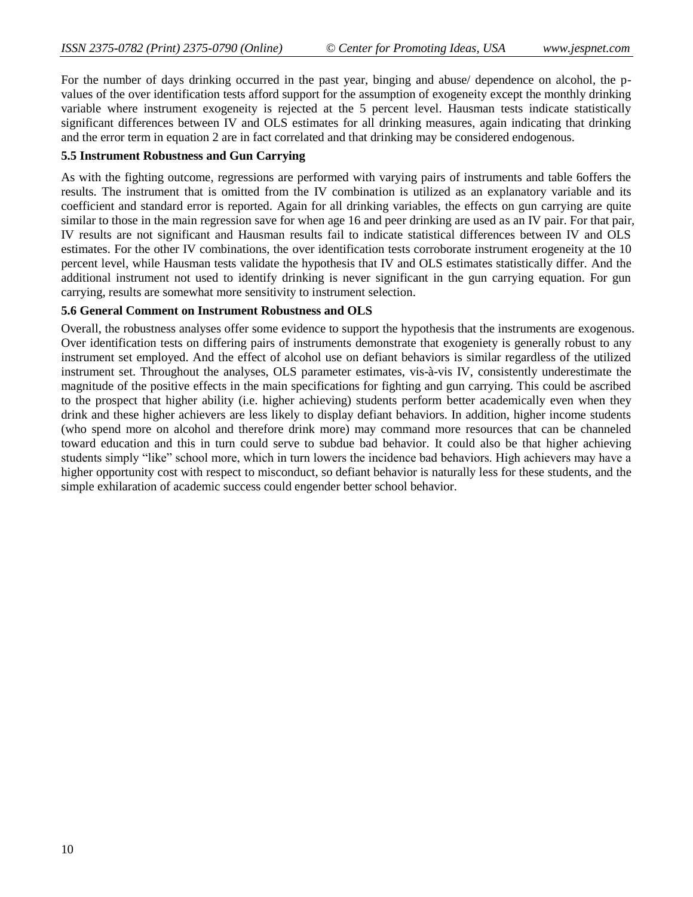For the number of days drinking occurred in the past year, binging and abuse/ dependence on alcohol, the pvalues of the over identification tests afford support for the assumption of exogeneity except the monthly drinking variable where instrument exogeneity is rejected at the 5 percent level. Hausman tests indicate statistically significant differences between IV and OLS estimates for all drinking measures, again indicating that drinking and the error term in equation 2 are in fact correlated and that drinking may be considered endogenous.

# **5.5 Instrument Robustness and Gun Carrying**

As with the fighting outcome, regressions are performed with varying pairs of instruments and table 6offers the results. The instrument that is omitted from the IV combination is utilized as an explanatory variable and its coefficient and standard error is reported. Again for all drinking variables, the effects on gun carrying are quite similar to those in the main regression save for when age 16 and peer drinking are used as an IV pair. For that pair, IV results are not significant and Hausman results fail to indicate statistical differences between IV and OLS estimates. For the other IV combinations, the over identification tests corroborate instrument erogeneity at the 10 percent level, while Hausman tests validate the hypothesis that IV and OLS estimates statistically differ. And the additional instrument not used to identify drinking is never significant in the gun carrying equation. For gun carrying, results are somewhat more sensitivity to instrument selection.

# **5.6 General Comment on Instrument Robustness and OLS**

Overall, the robustness analyses offer some evidence to support the hypothesis that the instruments are exogenous. Over identification tests on differing pairs of instruments demonstrate that exogeniety is generally robust to any instrument set employed. And the effect of alcohol use on defiant behaviors is similar regardless of the utilized instrument set. Throughout the analyses, OLS parameter estimates, vis-à-vis IV, consistently underestimate the magnitude of the positive effects in the main specifications for fighting and gun carrying. This could be ascribed to the prospect that higher ability (i.e. higher achieving) students perform better academically even when they drink and these higher achievers are less likely to display defiant behaviors. In addition, higher income students (who spend more on alcohol and therefore drink more) may command more resources that can be channeled toward education and this in turn could serve to subdue bad behavior. It could also be that higher achieving students simply "like" school more, which in turn lowers the incidence bad behaviors. High achievers may have a higher opportunity cost with respect to misconduct, so defiant behavior is naturally less for these students, and the simple exhilaration of academic success could engender better school behavior.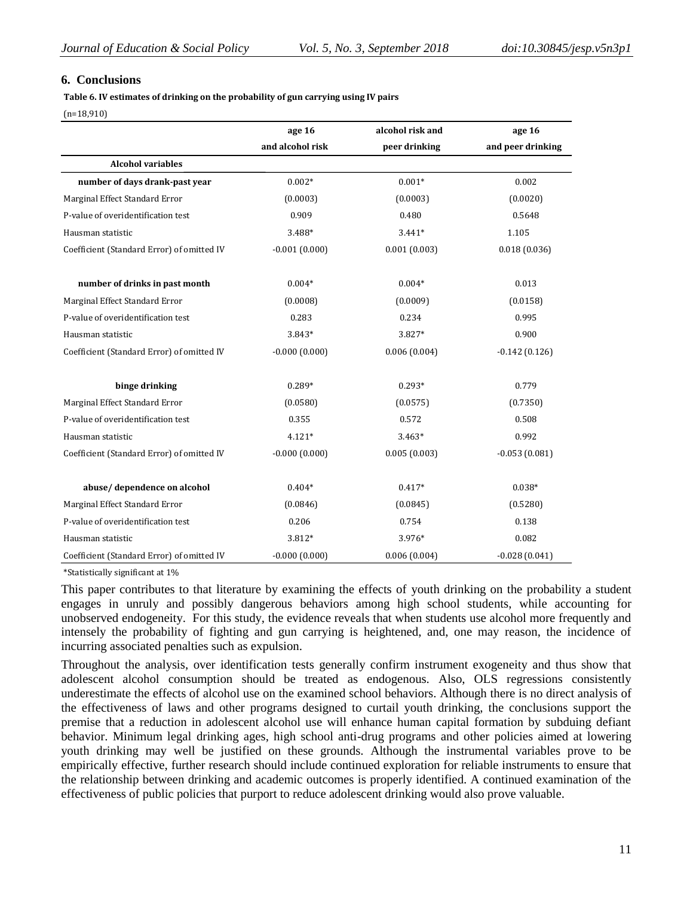#### **6. Conclusions**

**Table 6. IV estimates of drinking on the probability of gun carrying using IV pairs** 

(n=18,910)

|                                            | age 16           | alcohol risk and | age 16            |
|--------------------------------------------|------------------|------------------|-------------------|
|                                            | and alcohol risk | peer drinking    | and peer drinking |
| <b>Alcohol variables</b>                   |                  |                  |                   |
| number of days drank-past year             | $0.002*$         | $0.001*$         | 0.002             |
| Marginal Effect Standard Error             | (0.0003)         | (0.0003)         | (0.0020)          |
| P-value of overidentification test         | 0.909            | 0.480            | 0.5648            |
| Hausman statistic                          | 3.488*           | $3.441*$         | 1.105             |
| Coefficient (Standard Error) of omitted IV | $-0.001(0.000)$  | 0.001(0.003)     | 0.018(0.036)      |
| number of drinks in past month             | $0.004*$         | $0.004*$         | 0.013             |
| Marginal Effect Standard Error             | (0.0008)         | (0.0009)         | (0.0158)          |
| P-value of overidentification test         | 0.283            | 0.234            | 0.995             |
| Hausman statistic                          | 3.843*           | 3.827*           | 0.900             |
| Coefficient (Standard Error) of omitted IV | $-0.000(0.000)$  | 0.006(0.004)     | $-0.142(0.126)$   |
| binge drinking                             | $0.289*$         | $0.293*$         | 0.779             |
| Marginal Effect Standard Error             | (0.0580)         | (0.0575)         | (0.7350)          |
| P-value of overidentification test         | 0.355            | 0.572            | 0.508             |
| Hausman statistic                          | $4.121*$         | $3.463*$         | 0.992             |
| Coefficient (Standard Error) of omitted IV | $-0.000(0.000)$  | 0.005(0.003)     | $-0.053(0.081)$   |
| abuse/dependence on alcohol                | $0.404*$         | $0.417*$         | $0.038*$          |
| Marginal Effect Standard Error             | (0.0846)         | (0.0845)         | (0.5280)          |
| P-value of overidentification test         | 0.206            | 0.754            | 0.138             |
| Hausman statistic                          | 3.812*           | 3.976*           | 0.082             |
| Coefficient (Standard Error) of omitted IV | $-0.000(0.000)$  | 0.006(0.004)     | $-0.028(0.041)$   |

\*Statistically significant at 1%

This paper contributes to that literature by examining the effects of youth drinking on the probability a student engages in unruly and possibly dangerous behaviors among high school students, while accounting for unobserved endogeneity. For this study, the evidence reveals that when students use alcohol more frequently and intensely the probability of fighting and gun carrying is heightened, and, one may reason, the incidence of incurring associated penalties such as expulsion.

Throughout the analysis, over identification tests generally confirm instrument exogeneity and thus show that adolescent alcohol consumption should be treated as endogenous. Also, OLS regressions consistently underestimate the effects of alcohol use on the examined school behaviors. Although there is no direct analysis of the effectiveness of laws and other programs designed to curtail youth drinking, the conclusions support the premise that a reduction in adolescent alcohol use will enhance human capital formation by subduing defiant behavior. Minimum legal drinking ages, high school anti-drug programs and other policies aimed at lowering youth drinking may well be justified on these grounds. Although the instrumental variables prove to be empirically effective, further research should include continued exploration for reliable instruments to ensure that the relationship between drinking and academic outcomes is properly identified. A continued examination of the effectiveness of public policies that purport to reduce adolescent drinking would also prove valuable.